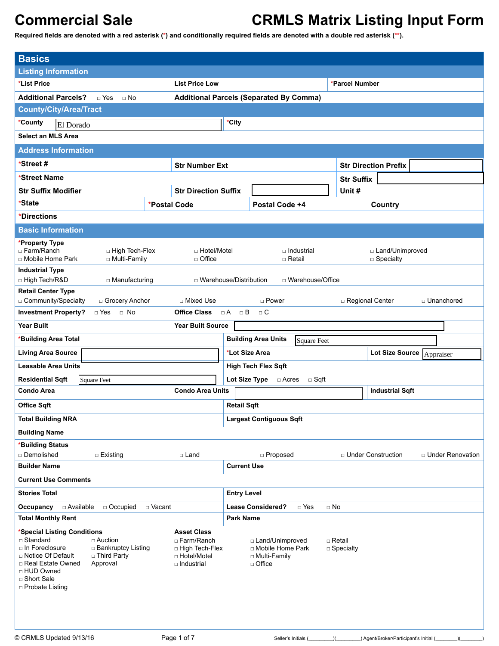| <b>Basics</b>                                                                                                                                                                                                                          |                                                                                              |                                                     |                                                                            |                                 |                                      |                                        |                    |  |
|----------------------------------------------------------------------------------------------------------------------------------------------------------------------------------------------------------------------------------------|----------------------------------------------------------------------------------------------|-----------------------------------------------------|----------------------------------------------------------------------------|---------------------------------|--------------------------------------|----------------------------------------|--------------------|--|
| <b>Listing Information</b>                                                                                                                                                                                                             |                                                                                              |                                                     |                                                                            |                                 |                                      |                                        |                    |  |
| *List Price                                                                                                                                                                                                                            | *Parcel Number                                                                               |                                                     |                                                                            |                                 |                                      |                                        |                    |  |
| <b>Additional Parcels?</b><br>$\sqcap$ Yes<br>$\sqcap$ No                                                                                                                                                                              | <b>Additional Parcels (Separated By Comma)</b>                                               |                                                     |                                                                            |                                 |                                      |                                        |                    |  |
| <b>County/City/Area/Tract</b>                                                                                                                                                                                                          |                                                                                              |                                                     |                                                                            |                                 |                                      |                                        |                    |  |
| *County<br>El Dorado                                                                                                                                                                                                                   |                                                                                              | *City                                               |                                                                            |                                 |                                      |                                        |                    |  |
| <b>Select an MLS Area</b>                                                                                                                                                                                                              |                                                                                              |                                                     |                                                                            |                                 |                                      |                                        |                    |  |
|                                                                                                                                                                                                                                        |                                                                                              |                                                     |                                                                            |                                 |                                      |                                        |                    |  |
| <b>Address Information</b>                                                                                                                                                                                                             |                                                                                              |                                                     |                                                                            |                                 |                                      |                                        |                    |  |
| *Street #                                                                                                                                                                                                                              | <b>Str Number Ext</b>                                                                        |                                                     |                                                                            |                                 |                                      | <b>Str Direction Prefix</b>            |                    |  |
| *Street Name                                                                                                                                                                                                                           |                                                                                              |                                                     |                                                                            |                                 | <b>Str Suffix</b>                    |                                        |                    |  |
| <b>Str Suffix Modifier</b>                                                                                                                                                                                                             | <b>Str Direction Suffix</b>                                                                  |                                                     |                                                                            |                                 | Unit#                                |                                        |                    |  |
| *State                                                                                                                                                                                                                                 | *Postal Code                                                                                 |                                                     | Postal Code +4                                                             |                                 |                                      | Country                                |                    |  |
| *Directions                                                                                                                                                                                                                            |                                                                                              |                                                     |                                                                            |                                 |                                      |                                        |                    |  |
| <b>Basic Information</b>                                                                                                                                                                                                               |                                                                                              |                                                     |                                                                            |                                 |                                      |                                        |                    |  |
| *Property Type<br>□ Farm/Ranch<br>□ High Tech-Flex<br>□ Mobile Home Park<br>□ Multi-Family                                                                                                                                             | □ Hotel/Motel<br>$\Box$ Office                                                               |                                                     |                                                                            | □ Industrial<br>$\sqcap$ Retail |                                      | □ Land/Unimproved<br>□ Specialty       |                    |  |
| <b>Industrial Type</b>                                                                                                                                                                                                                 |                                                                                              |                                                     |                                                                            |                                 |                                      |                                        |                    |  |
| □ High Tech/R&D<br>□ Manufacturing                                                                                                                                                                                                     | □ Warehouse/Distribution                                                                     |                                                     |                                                                            | □ Warehouse/Office              |                                      |                                        |                    |  |
| <b>Retail Center Type</b>                                                                                                                                                                                                              |                                                                                              |                                                     |                                                                            |                                 |                                      |                                        |                    |  |
| □ Community/Specialty<br>□ Grocery Anchor<br><b>Investment Property?</b><br>□ Yes<br>$\Box$ No                                                                                                                                         | □ Mixed Use<br><b>Office Class</b>                                                           | $\sqcap$ Power<br>□ Regional Center<br>□ Unanchored |                                                                            |                                 |                                      |                                        |                    |  |
|                                                                                                                                                                                                                                        |                                                                                              | $\Box$ B<br>$\Box$ C<br>$\Box A$                    |                                                                            |                                 |                                      |                                        |                    |  |
| <b>Year Built</b>                                                                                                                                                                                                                      | <b>Year Built Source</b>                                                                     |                                                     |                                                                            |                                 |                                      |                                        |                    |  |
| *Building Area Total                                                                                                                                                                                                                   |                                                                                              |                                                     | <b>Building Area Units</b>                                                 | <b>Square Feet</b>              |                                      |                                        |                    |  |
| <b>Living Area Source</b>                                                                                                                                                                                                              |                                                                                              | *Lot Size Area                                      |                                                                            |                                 |                                      | Lot Size Source   Appraiser            |                    |  |
| <b>Leasable Area Units</b>                                                                                                                                                                                                             |                                                                                              |                                                     | <b>High Tech Flex Sqft</b>                                                 |                                 |                                      |                                        |                    |  |
| <b>Residential Sqft</b><br><b>Square Feet</b>                                                                                                                                                                                          |                                                                                              | Lot Size Type                                       | $\Box$ Acres                                                               | $\Box$ Sqft                     |                                      |                                        |                    |  |
| <b>Condo Area</b>                                                                                                                                                                                                                      | <b>Condo Area Units</b>                                                                      |                                                     |                                                                            |                                 |                                      | <b>Industrial Sqft</b>                 |                    |  |
| Office Sqft                                                                                                                                                                                                                            |                                                                                              | <b>Retail Sqft</b>                                  |                                                                            |                                 |                                      |                                        |                    |  |
| <b>Total Building NRA</b>                                                                                                                                                                                                              |                                                                                              |                                                     | <b>Largest Contiguous Sqft</b>                                             |                                 |                                      |                                        |                    |  |
| <b>Building Name</b>                                                                                                                                                                                                                   |                                                                                              |                                                     |                                                                            |                                 |                                      |                                        |                    |  |
| *Building Status                                                                                                                                                                                                                       |                                                                                              |                                                     |                                                                            |                                 |                                      |                                        |                    |  |
| □ Demolished<br>$\Box$ Existing                                                                                                                                                                                                        | □ Land                                                                                       |                                                     | □ Proposed                                                                 |                                 |                                      | D Under Construction                   | □ Under Renovation |  |
| <b>Builder Name</b>                                                                                                                                                                                                                    |                                                                                              | <b>Current Use</b>                                  |                                                                            |                                 |                                      |                                        |                    |  |
| <b>Current Use Comments</b>                                                                                                                                                                                                            |                                                                                              |                                                     |                                                                            |                                 |                                      |                                        |                    |  |
| <b>Stories Total</b>                                                                                                                                                                                                                   |                                                                                              | <b>Entry Level</b>                                  |                                                                            |                                 |                                      |                                        |                    |  |
| $\Box$ Available<br>□ Occupied<br>□ Vacant<br>Occupancy                                                                                                                                                                                |                                                                                              | <b>Lease Considered?</b><br>□ Yes<br>$\Box$ No      |                                                                            |                                 |                                      |                                        |                    |  |
| <b>Total Monthly Rent</b>                                                                                                                                                                                                              |                                                                                              | <b>Park Name</b>                                    |                                                                            |                                 |                                      |                                        |                    |  |
| *Special Listing Conditions<br>□ Standard<br>□ Auction<br>$\Box$ In Foreclosure<br>□ Bankruptcy Listing<br>□ Notice Of Default<br>□ Third Party<br>□ Real Estate Owned<br>Approval<br>□ HUD Owned<br>□ Short Sale<br>□ Probate Listing | <b>Asset Class</b><br>□ Farm/Ranch<br>□ High Tech-Flex<br>□ Hotel/Motel<br>$\Box$ Industrial |                                                     | □ Land/Unimproved<br>□ Mobile Home Park<br>□ Multi-Family<br>$\Box$ Office |                                 | $\Box$ Retail<br>$\square$ Specialty |                                        |                    |  |
| © CRMLS Updated 9/13/16                                                                                                                                                                                                                | Page 1 of 7                                                                                  |                                                     | Seller's Initials (                                                        |                                 |                                      | ) Agent/Broker/Participant's Initial ( |                    |  |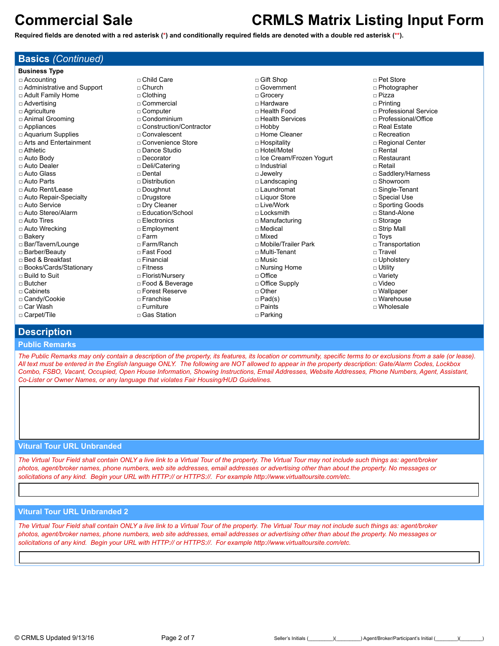**Basics** *(Continued)*

# **Commercial Sale CRMLS Matrix Listing Input Form**

**Required fields are denoted with a red asterisk (\*) and conditionally required fields are denoted with a double red asterisk (\*\*).**

| <b>Business Type</b>          |                           |                           |                        |  |
|-------------------------------|---------------------------|---------------------------|------------------------|--|
| $\Box$ Accounting             | $\sqcap$ Child Care       | $\Box$ Gift Shop          | $\sqcap$ Pet Store     |  |
| □ Administrative and Support  | $\Box$ Church             | $\sqcap$ Government       | □ Photographer         |  |
| □ Adult Family Home           | $\Box$ Clothing           | □ Grocery                 | □ Pizza                |  |
| $\Box$ Advertising            | $\sqcap$ Commercial       | $\Box$ Hardware           | $\Box$ Printing        |  |
| □ Agriculture                 | □ Computer                | □ Health Food             | □ Professional Service |  |
| □ Animal Grooming             | $\Box$ Condominium        | □ Health Services         | □ Professional/Office  |  |
| □ Appliances                  | □ Construction/Contractor | $\Box$ Hobby              | □ Real Estate          |  |
| $\Box$ Aquarium Supplies      | □ Convalescent            | □ Home Cleaner            | $\Box$ Recreation      |  |
| $\Box$ Arts and Entertainment | □ Convenience Store       | □ Hospitality             | □ Regional Center      |  |
| $\Box$ Athletic               | □ Dance Studio            | $\sqcap$ Hotel/Motel      | $\sqcap$ Rental        |  |
| $\Box$ Auto Body              | $\Box$ Decorator          | □ Ice Cream/Frozen Yogurt | □ Restaurant           |  |
| □ Auto Dealer                 | □ Deli/Catering           | $\sqcap$ Industrial       | $\sqcap$ Retail        |  |
| □ Auto Glass                  | $\sqcap$ Dental           | $\Box$ Jewelry            | □ Saddlery/Harness     |  |
| $\sqcap$ Auto Parts           | $\sqcap$ Distribution     | □ Landscaping             | $\sqcap$ Showroom      |  |
| □ Auto Rent/Lease             | $\square$ Doughnut        | $\sqcap$ Laundromat       | □ Single-Tenant        |  |
| □ Auto Repair-Specialty       | □ Drugstore               | □ Liquor Store            | □ Special Use          |  |
| □ Auto Service                | □ Dry Cleaner             | $\sqcap$ Live/Work        | □ Sporting Goods       |  |
| □ Auto Stereo/Alarm           | □ Education/School        | $\Box$ Locksmith          | □ Stand-Alone          |  |
| $\Box$ Auto Tires             | $\Box$ Electronics        | □ Manufacturing           | $\Box$ Storage         |  |
| □ Auto Wrecking               | □ Employment              | $\sqcap$ Medical          | $\Box$ Strip Mall      |  |
| □ Bakery                      | $\sqcap$ Farm             | $\sqcap$ Mixed            | $\Box$ Toys            |  |
| □ Bar/Tavern/Lounge           | □ Farm/Ranch              | □ Mobile/Trailer Park     | □ Transportation       |  |
| □ Barber/Beauty               | □ Fast Food               | □ Multi-Tenant            | □ Travel               |  |
| □ Bed & Breakfast             | $\Box$ Financial          | $\sqcap$ Music            | □ Upholstery           |  |
| □ Books/Cards/Stationary      | $\sqcap$ Fitness          | □ Nursing Home            | $\Box$ Utility         |  |
| □ Build to Suit               | □ Florist/Nursery         | $\Box$ Office             | □ Variety              |  |
| $\sqcap$ Butcher              | □ Food & Beverage         | $\Box$ Office Supply      | $\sqcap$ Video         |  |
| — Cabinate                    | - Forest Resente          | — ∩thar                   | $\Box$ Wallnaner       |  |

- □ Cabinets □ Candy/Cookie
- □ Car Wash
- □ Carpet/Tile
- 
- □ Forest Reserve
- □ Franchise
- □ Furniture □ Gas Station
- 
- 
- □ Other □ Pad(s)
- □ Paints
- □ Parking

□ Wallpaper □ Warehouse

- □ Wholesale
- 

## **Description**

### **Public Remarks**

*The Public Remarks may only contain a description of the property, its features, its location or community, specific terms to or exclusions from a sale (or lease). All text must be entered in the English language ONLY. The following are NOT allowed to appear in the property description: Gate/Alarm Codes, Lockbox Combo, FSBO, Vacant, Occupied, Open House Information, Showing Instructions, Email Addresses, Website Addresses, Phone Numbers, Agent, Assistant, Co-Lister or Owner Names, or any language that violates Fair Housing/HUD Guidelines.*

## **Vitural Tour URL Unbranded**

*The Virtual Tour Field shall contain ONLY a live link to a Virtual Tour of the property. The Virtual Tour may not include such things as: agent/broker photos, agent/broker names, phone numbers, web site addresses, email addresses or advertising other than about the property. No messages or solicitations of any kind. Begin your URL with HTTP:// or HTTPS://. For example http://www.virtualtoursite.com/etc.*

## **Vitural Tour URL Unbranded 2**

*The Virtual Tour Field shall contain ONLY a live link to a Virtual Tour of the property. The Virtual Tour may not include such things as: agent/broker photos, agent/broker names, phone numbers, web site addresses, email addresses or advertising other than about the property. No messages or solicitations of any kind. Begin your URL with HTTP:// or HTTPS://. For example http://www.virtualtoursite.com/etc.*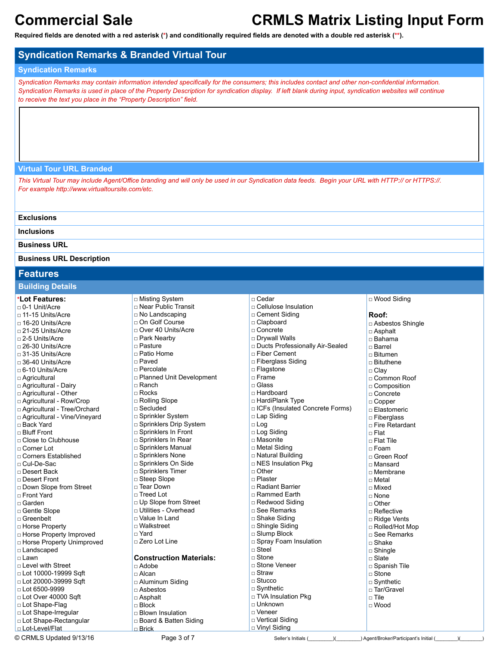**Required fields are denoted with a red asterisk (\*) and conditionally required fields are denoted with a double red asterisk (\*\*).**

## **Syndication Remarks & Branded Virtual Tour**

### **Syndication Remarks**

*Syndication Remarks may contain information intended specifically for the consumers; this includes contact and other non-confidential information. Syndication Remarks is used in place of the Property Description for syndication display. If left blank during input, syndication websites will continue to receive the text you place in the "Property Description" field.*

### **Virtual Tour URL Branded**

*This Virtual Tour may include Agent/Office branding and will only be used in our Syndication data feeds. Begin your URL with HTTP:// or HTTPS://. For example http://www.virtualtoursite.com/etc.*

### **Exclusions**

**Inclusions**

### **Business URL**

### **Business URL Description**

## **Features**

### **Building Details**

### **\*Lot Features:**

□ 0-1 Unit/Acre □ 11-15 Units/Acre □ 16-20 Units/Acre  $\Box$  21-25 Units/Acre □ 2-5 Units/Acre □ 26-30 Units/Acre □ 31-35 Units/Acre □ 36-40 Units/Acre □ 6-10 Units/Acre □ Agricultural □ Agricultural - Dairy □ Agricultural - Other □ Agricultural - Row/Crop □ Agricultural - Tree/Orchard □ Agricultural - Vine/Vineyard □ Back Yard □ Bluff Front □ Close to Clubhouse □ Corner Lot □ Corners Established □ Cul-De-Sac □ Desert Back □ Desert Front □ Down Slope from Street □ Front Yard □ Garden □ Gentle Slope □ Greenbelt □ Horse Property □ Horse Property Improved □ Horse Property Unimproved □ Landscaped □ Lawn □ Level with Street □ Lot 10000-19999 Sqft □ Lot 20000-39999 Sqft □ Lot 6500-9999 □ Lot Over 40000 Sqft □ Lot Shape-Flag

| □ Misting System               | $\sqcap$ Cedar                    | □ Wood Siding      |
|--------------------------------|-----------------------------------|--------------------|
| □ Near Public Transit          | □ Cellulose Insulation            |                    |
| □ No Landscaping               | □ Cement Siding                   | Roof:              |
| □ On Golf Course               | □ Clapboard                       | □ Asbestos Shingle |
| □ Over 40 Units/Acre           | □ Concrete                        | □ Asphalt          |
| □ Park Nearby                  | □ Drywall Walls                   | □ Bahama           |
| □ Pasture                      | □ Ducts Professionally Air-Sealed | $\sqcap$ Barrel    |
| □ Patio Home                   | □ Fiber Cement                    | □ Bitumen          |
| □ Paved                        | $\square$ Fiberglass Siding       | □ Bituthene        |
| □ Percolate                    | □ Flagstone                       | □ Clay             |
| □ Planned Unit Development     | □ Frame                           | □ Common Roof      |
| □ Ranch                        | $\sqcap$ Glass                    | $\Box$ Composition |
| $\sqcap$ Rocks                 | $\sqcap$ Hardboard                | □ Concrete         |
| □ Rolling Slope                | □ HardiPlank Type                 | $\Box$ Copper      |
| □ Secluded                     | □ ICFs (Insulated Concrete Forms) | □ Elastomeric      |
| □ Sprinkler System             | □ Lap Siding                      | □ Fiberglass       |
| □ Sprinklers Drip System       | $\square$ Log                     | □ Fire Retardant   |
| □ Sprinklers In Front          | □ Log Siding                      | $\sqcap$ Flat      |
| □ Sprinklers In Rear           | $\Box$ Masonite                   | $\sqcap$ Flat Tile |
| □ Sprinklers Manual            | □ Metal Siding                    | $\Box$ Foam        |
| □ Sprinklers None              | □ Natural Building                | □ Green Roof       |
| □ Sprinklers On Side           | $\Box$ NES Insulation Pkg         | $\sqcap$ Mansard   |
| □ Sprinklers Timer             | $\Box$ Other                      | □ Membrane         |
| □ Steep Slope                  | $\Box$ Plaster                    | $\sqcap$ Metal     |
| □ Tear Down                    | □ Radiant Barrier                 | $\Box$ Mixed       |
| □ Treed Lot                    | □ Rammed Earth                    | $\sqcap$ None      |
| □ Up Slope from Street         | □ Redwood Siding                  | $\Box$ Other       |
| □ Utilities - Overhead         | □ See Remarks                     | $\Box$ Reflective  |
| □ Value In Land                | □ Shake Siding                    | □ Ridge Vents      |
| □ Walkstreet                   | □ Shingle Siding                  | □ Rolled/Hot Mop   |
| $\sqcap$ Yard                  | □ Slump Block                     | □ See Remarks      |
| □ Zero Lot Line                | □ Spray Foam Insulation           | $\square$ Shake    |
|                                | $\sqcap$ Steel                    | $\Box$ Shingle     |
| <b>Construction Materials:</b> | $\sqcap$ Stone                    | $\sqcap$ Slate     |
| $\sqcap$ Adobe                 | □ Stone Veneer<br>$\sqcap$ Straw  | □ Spanish Tile     |
| □ Alcan                        |                                   | $\Box$ Stone       |
| □ Aluminum Siding              | $\Box$ Stucco                     | $\Box$ Synthetic   |
| $\Box$ Asbestos                | $\Box$ Synthetic                  | □ Tar/Gravel       |
| $\Box$ Asphalt                 | □ TVA Insulation Pkg              | $\sqcap$ Tile      |
| $\sqcap$ Block                 | □ Unknown<br>$\sqcap$ Veneer      | $\sqcap$ Wood      |
| □ Blown Insulation             |                                   |                    |
| □ Board & Batten Siding        | □ Vertical Siding                 |                    |
| <u>□ Brick</u>                 | □ Vinyl Siding                    |                    |

□ Lot Shape-Irregular □ Lot Shape-Rectangular

D Lot-Level/Flat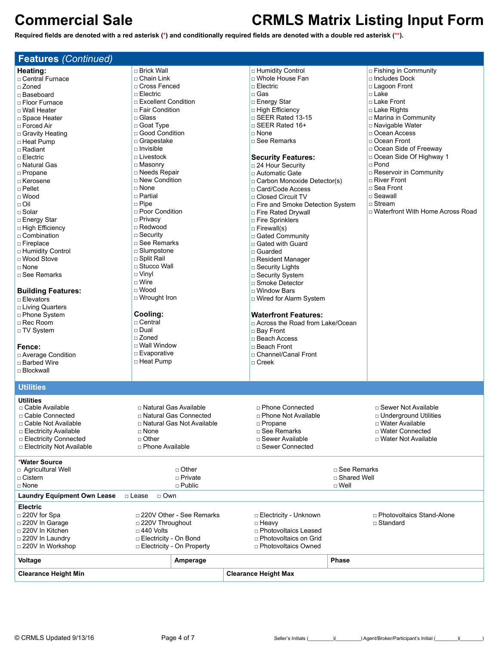| <b>Features (Continued)</b>           |                             |                                   |                                    |
|---------------------------------------|-----------------------------|-----------------------------------|------------------------------------|
| Heating:                              | □ Brick Wall                | □ Humidity Control                | $\Box$ Fishing in Community        |
| □ Central Furnace                     | □ Chain Link                | □ Whole House Fan                 | $\Box$ Includes Dock               |
| □ Zoned                               | □ Cross Fenced              | $\Box$ Electric                   | □ Lagoon Front                     |
| □ Baseboard                           | $\sqcap$ Electric           | $\Box$ Gas                        | $\square$ Lake                     |
|                                       | □ Excellent Condition       | □ Energy Star                     | □ Lake Front                       |
| □ Floor Furnace                       |                             |                                   |                                    |
| □ Wall Heater                         | □ Fair Condition            | □ High Efficiency                 | □ Lake Rights                      |
| □ Space Heater                        | $\square$ Glass             | □ SEER Rated 13-15                | □ Marina in Community              |
| $\Box$ Forced Air                     | □ Goat Type                 | $\Box$ SEER Rated 16+             | □ Navigable Water                  |
| □ Gravity Heating                     | □ Good Condition            | $\sqcap$ None                     | □ Ocean Access                     |
| □ Heat Pump                           | □ Grapestake                | □ See Remarks                     | □ Ocean Front                      |
| $\Box$ Radiant                        | $\Box$ Invisible            |                                   | □ Ocean Side of Freeway            |
| $\Box$ Electric                       | $\Box$ Livestock            | <b>Security Features:</b>         | □ Ocean Side Of Highway 1          |
| □ Natural Gas                         | □ Masonry                   | □ 24 Hour Security                | $\Box$ Pond                        |
| □ Propane                             | □ Needs Repair              | □ Automatic Gate                  | $\Box$ Reservoir in Community      |
| □ Kerosene                            | □ New Condition             |                                   | □ River Front                      |
| $\sqcap$ Pellet                       | $\Box$ None                 | □ Carbon Monoxide Detector(s)     | □ Sea Front                        |
|                                       |                             | □ Card/Code Access                |                                    |
| $\Box$ Wood                           | $\Box$ Partial              | $\Box$ Closed Circuit TV          | $\square$ Seawall                  |
| $\Box$ Oil                            | $\Box$ Pipe                 | □ Fire and Smoke Detection System | $\Box$ Stream                      |
| □ Solar                               | □ Poor Condition            | □ Fire Rated Drywall              | □ Waterfront With Home Across Road |
| □ Energy Star                         | □ Privacy                   | □ Fire Sprinklers                 |                                    |
| □ High Efficiency                     | □ Redwood                   | $\Box$ Firewall(s)                |                                    |
| □ Combination                         | □ Security                  | □ Gated Community                 |                                    |
| □ Fireplace                           | □ See Remarks               | □ Gated with Guard                |                                    |
| □ Humidity Control                    | $\square$ Slumpstone        | □ Guarded                         |                                    |
| □ Wood Stove                          | □ Split Rail                |                                   |                                    |
| $\sqcap$ None                         | □ Stucco Wall               | □ Resident Manager                |                                    |
|                                       |                             | □ Security Lights                 |                                    |
| □ See Remarks                         | $\Box$ Vinyl                | □ Security System                 |                                    |
|                                       | $\Box$ Wire                 | □ Smoke Detector                  |                                    |
| <b>Building Features:</b>             | $\square$ Wood              | □ Window Bars                     |                                    |
| □ Elevators                           | □ Wrought Iron              | □ Wired for Alarm System          |                                    |
| □ Living Quarters                     |                             |                                   |                                    |
| □ Phone System                        | Cooling:                    | <b>Waterfront Features:</b>       |                                    |
| □ Rec Room                            | □ Central                   | □ Across the Road from Lake/Ocean |                                    |
| □ TV System                           | □ Dual                      | □ Bay Front                       |                                    |
|                                       | $\sqcap$ Zoned              | □ Beach Access                    |                                    |
|                                       | □ Wall Window               |                                   |                                    |
| Fence:                                |                             | □ Beach Front                     |                                    |
| □ Average Condition                   | □ Evaporative               | □ Channel/Canal Front             |                                    |
| □ Barbed Wire                         | □ Heat Pump                 | $\Box$ Creek                      |                                    |
| □ Blockwall                           |                             |                                   |                                    |
|                                       |                             |                                   |                                    |
| <b>Utilities</b>                      |                             |                                   |                                    |
| <b>Utilities</b><br>□ Cable Available | □ Natural Gas Available     | □ Phone Connected                 | □ Sewer Not Available              |
| □ Cable Connected                     | □ Natural Gas Connected     | <b>D</b> Phone Not Available      | <b>D</b> Underground Utilities     |
|                                       |                             |                                   |                                    |
| □ Cable Not Available                 | □ Natural Gas Not Available | □ Propane                         | □ Water Available                  |
| □ Electricity Available               | □ None                      | □ See Remarks                     | □ Water Connected                  |
| □ Electricity Connected               | $\Box$ Other                | $\Box$ Sewer Available            | □ Water Not Available              |
| □ Electricity Not Available           | □ Phone Available           | □ Sewer Connected                 |                                    |
| *Water Source                         |                             |                                   |                                    |
| □ Agricultural Well                   | $\Box$ Other                |                                   | □ See Remarks                      |
| $\Box$ Cistern                        | □ Private                   |                                   | □ Shared Well                      |
| □ None                                | $\Box$ Public               |                                   | $\square$ Well                     |
| <b>Laundry Equipment Own Lease</b>    | □ Own<br>□ Lease            |                                   |                                    |
| <b>Electric</b>                       |                             |                                   |                                    |
| □ 220V for Spa                        | □ 220V Other - See Remarks  | □ Electricity - Unknown           | □ Photovoltaics Stand-Alone        |
| □ 220V In Garage                      | □ 220V Throughout           | □ Heavy                           | □ Standard                         |
| □ 220V In Kitchen                     | $\Box$ 440 Volts            | □ Photovoltaics Leased            |                                    |
| □ 220V In Laundry                     | □ Electricity - On Bond     | □ Photovoltaics on Grid           |                                    |
| □ 220V In Workshop                    | □ Electricity - On Property | □ Photovoltaics Owned             |                                    |
|                                       |                             |                                   |                                    |
| Voltage                               | Amperage                    |                                   | <b>Phase</b>                       |
| <b>Clearance Height Min</b>           |                             | <b>Clearance Height Max</b>       |                                    |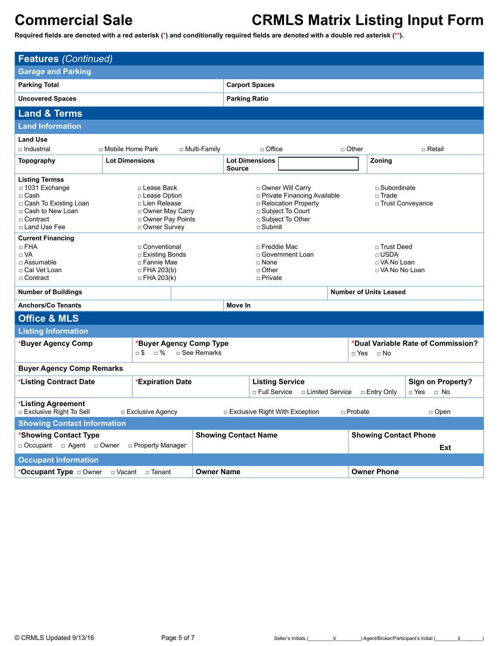| <b>Features (Continued)</b>                                                                                                              |                                                                                                               |                    |                                                                                |                                                                                                                                                                                                         |                                          |                                                 |                                                  |                                                     |  |
|------------------------------------------------------------------------------------------------------------------------------------------|---------------------------------------------------------------------------------------------------------------|--------------------|--------------------------------------------------------------------------------|---------------------------------------------------------------------------------------------------------------------------------------------------------------------------------------------------------|------------------------------------------|-------------------------------------------------|--------------------------------------------------|-----------------------------------------------------|--|
| <b>Garage and Parking</b>                                                                                                                |                                                                                                               |                    |                                                                                |                                                                                                                                                                                                         |                                          |                                                 |                                                  |                                                     |  |
| <b>Parking Total</b>                                                                                                                     |                                                                                                               |                    |                                                                                |                                                                                                                                                                                                         | <b>Carport Spaces</b>                    |                                                 |                                                  |                                                     |  |
| <b>Uncovered Spaces</b>                                                                                                                  |                                                                                                               |                    |                                                                                | <b>Parking Ratio</b>                                                                                                                                                                                    |                                          |                                                 |                                                  |                                                     |  |
| <b>Land &amp; Terms</b>                                                                                                                  |                                                                                                               |                    |                                                                                |                                                                                                                                                                                                         |                                          |                                                 |                                                  |                                                     |  |
| <b>Land Information</b>                                                                                                                  |                                                                                                               |                    |                                                                                |                                                                                                                                                                                                         |                                          |                                                 |                                                  |                                                     |  |
| <b>Land Use</b>                                                                                                                          |                                                                                                               |                    |                                                                                |                                                                                                                                                                                                         |                                          |                                                 |                                                  |                                                     |  |
| □ Industrial                                                                                                                             | □ Mobile Home Park                                                                                            |                    | □ Multi-Family                                                                 |                                                                                                                                                                                                         | $\Box$ Office                            | $\Box$ Other                                    |                                                  | □ Retail                                            |  |
| Topography                                                                                                                               | <b>Lot Dimensions</b>                                                                                         |                    |                                                                                | <b>Source</b>                                                                                                                                                                                           | <b>Lot Dimensions</b>                    |                                                 | Zoning                                           |                                                     |  |
| <b>Listing Termss</b><br>$\Box$ 1031 Exchange<br>□ Cash<br>□ Cash To Existing Loan<br>□ Cash to New Loan<br>□ Contract<br>□ Land Use Fee | □ Lease Back<br>□ Lease Option<br>□ Lien Release<br>□ Owner May Carry<br>□ Owner Pay Points<br>□ Owner Survey |                    |                                                                                | □ Owner Will Carry<br>$\Box$ Subordinate<br>□ Private Financing Available<br>$\sqcap$ Trade<br>□ Relocation Property<br>□ Trust Conveyance<br>□ Subject To Court<br>□ Subject To Other<br>$\Box$ Submit |                                          |                                                 |                                                  |                                                     |  |
| <b>Current Financing</b><br>$\Box$ FHA<br>$\Box$ VA<br>$\Box$ Assumable<br>□ Cal Vet Loan<br>□ Contract                                  | □ Conventional<br>□ Existing Bonds<br>□ Fannie Mae<br>$\Box$ FHA 203(b)<br>$\Box$ FHA 203(k)                  |                    | □ Freddie Mac<br>□ Government Loan<br>$\Box$ None<br>$\Box$ Other<br>□ Private |                                                                                                                                                                                                         | $\Box$ USDA                              | □ Trust Deed<br>□ VA No Loan<br>□ VA No No Loan |                                                  |                                                     |  |
| <b>Number of Buildings</b>                                                                                                               |                                                                                                               |                    |                                                                                |                                                                                                                                                                                                         |                                          |                                                 | <b>Number of Units Leased</b>                    |                                                     |  |
| <b>Anchors/Co Tenants</b>                                                                                                                |                                                                                                               |                    |                                                                                | Move In                                                                                                                                                                                                 |                                          |                                                 |                                                  |                                                     |  |
| <b>Office &amp; MLS</b>                                                                                                                  |                                                                                                               |                    |                                                                                |                                                                                                                                                                                                         |                                          |                                                 |                                                  |                                                     |  |
| <b>Listing Information</b>                                                                                                               |                                                                                                               |                    |                                                                                |                                                                                                                                                                                                         |                                          |                                                 |                                                  |                                                     |  |
| *Buyer Agency Comp                                                                                                                       |                                                                                                               | $\neg$ \$ $\neg$ % | *Buyer Agency Comp Type<br>$\Box$ See Remarks                                  |                                                                                                                                                                                                         |                                          |                                                 | *Dual Variable Rate of Commission?<br>□ Yes □ No |                                                     |  |
| <b>Buyer Agency Comp Remarks</b>                                                                                                         |                                                                                                               |                    |                                                                                |                                                                                                                                                                                                         |                                          |                                                 |                                                  |                                                     |  |
| *Listing Contract Date                                                                                                                   |                                                                                                               | *Expiration Date   |                                                                                |                                                                                                                                                                                                         | <b>Listing Service</b><br>□ Full Service | □ Limited Service                               | □ Entry Only                                     | <b>Sign on Property?</b><br>$\Box$ Yes<br>$\Box$ No |  |
| *Listing Agreement<br>□ Exclusive Right To Sell<br>□ Exclusive Agency<br>$\Box$ Exclusive Right With Exception<br>□ Probate<br>□ Open    |                                                                                                               |                    |                                                                                |                                                                                                                                                                                                         |                                          |                                                 |                                                  |                                                     |  |
|                                                                                                                                          | <b>Showing Contact Information</b>                                                                            |                    |                                                                                |                                                                                                                                                                                                         |                                          |                                                 |                                                  |                                                     |  |
| *Showing Contact Type                                                                                                                    |                                                                                                               |                    |                                                                                | <b>Showing Contact Name</b>                                                                                                                                                                             |                                          |                                                 | <b>Showing Contact Phone</b>                     |                                                     |  |
| □ Occupant □ Agent □ Owner                                                                                                               |                                                                                                               | □ Property Manager |                                                                                |                                                                                                                                                                                                         |                                          |                                                 |                                                  | Ext                                                 |  |
| <b>Occupant Information</b>                                                                                                              |                                                                                                               |                    |                                                                                |                                                                                                                                                                                                         |                                          |                                                 |                                                  |                                                     |  |
| *Occupant Type a Owner                                                                                                                   | □ Vacant                                                                                                      | $\Box$ Tenant      | <b>Owner Name</b>                                                              |                                                                                                                                                                                                         |                                          |                                                 | <b>Owner Phone</b>                               |                                                     |  |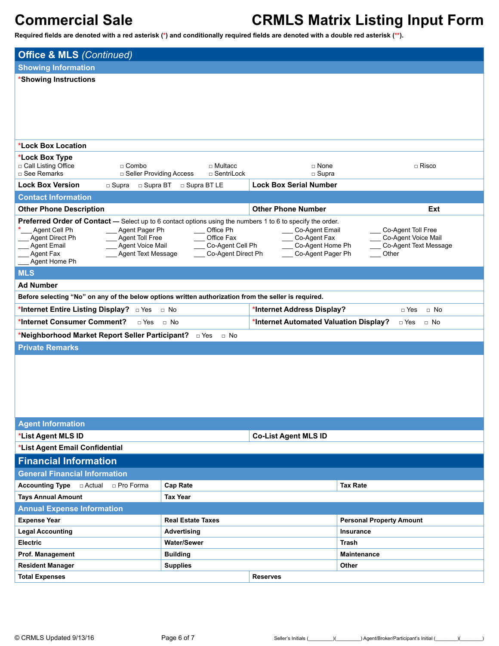| <b>Office &amp; MLS (Continued)</b>                                                                                         |                          |                                        |                                           |  |  |  |  |  |
|-----------------------------------------------------------------------------------------------------------------------------|--------------------------|----------------------------------------|-------------------------------------------|--|--|--|--|--|
| <b>Showing Information</b>                                                                                                  |                          |                                        |                                           |  |  |  |  |  |
| *Showing Instructions                                                                                                       |                          |                                        |                                           |  |  |  |  |  |
|                                                                                                                             |                          |                                        |                                           |  |  |  |  |  |
|                                                                                                                             |                          |                                        |                                           |  |  |  |  |  |
|                                                                                                                             |                          |                                        |                                           |  |  |  |  |  |
|                                                                                                                             |                          |                                        |                                           |  |  |  |  |  |
| *Lock Box Location                                                                                                          |                          |                                        |                                           |  |  |  |  |  |
| *Lock Box Type                                                                                                              |                          |                                        |                                           |  |  |  |  |  |
| □ Call Listing Office<br>$\Box$ Combo                                                                                       | $\Box$ Multacc           | □ None                                 | $\Box$ Risco                              |  |  |  |  |  |
| □ See Remarks<br>□ Seller Providing Access                                                                                  | □ SentriLock             | $\Box$ Supra                           |                                           |  |  |  |  |  |
| <b>Lock Box Version</b><br>□ Supra BT<br>$\square$ Supra                                                                    | □ Supra BT LE            | <b>Lock Box Serial Number</b>          |                                           |  |  |  |  |  |
| <b>Contact Information</b>                                                                                                  |                          |                                        |                                           |  |  |  |  |  |
| <b>Other Phone Description</b>                                                                                              |                          | <b>Other Phone Number</b>              | Ext                                       |  |  |  |  |  |
| Preferred Order of Contact - Select up to 6 contact options using the numbers 1 to 6 to specify the order.<br>Agent Cell Ph |                          |                                        |                                           |  |  |  |  |  |
| Agent Pager Ph<br>Agent Direct Ph<br>Agent Toll Free                                                                        | Office Ph<br>Office Fax  | Co-Agent Email<br>Co-Agent Fax         | Co-Agent Toll Free<br>Co-Agent Voice Mail |  |  |  |  |  |
| <b>Agent Email</b><br>Agent Voice Mail<br>Agent Fax<br><b>Agent Text Message</b>                                            | Co-Agent Cell Ph         | Co-Agent Home Ph<br>Co-Agent Pager Ph  | Co-Agent Text Message<br>Other            |  |  |  |  |  |
| Agent Home Ph                                                                                                               | Co-Agent Direct Ph       |                                        |                                           |  |  |  |  |  |
| <b>MLS</b>                                                                                                                  |                          |                                        |                                           |  |  |  |  |  |
| <b>Ad Number</b>                                                                                                            |                          |                                        |                                           |  |  |  |  |  |
| Before selecting "No" on any of the below options written authorization from the seller is required.                        |                          |                                        |                                           |  |  |  |  |  |
| *Internet Entire Listing Display?<br>□ Yes                                                                                  | $\Box$ No                | *Internet Address Display?             | $\Box$ Yes<br>$\Box$ No                   |  |  |  |  |  |
| *Internet Consumer Comment?<br>$\Box$ Yes                                                                                   | $\Box$ No                | *Internet Automated Valuation Display? | □ Yes<br>$\Box$ No                        |  |  |  |  |  |
| *Neighborhood Market Report Seller Participant? DYes                                                                        | $\Box$ No                |                                        |                                           |  |  |  |  |  |
| <b>Private Remarks</b>                                                                                                      |                          |                                        |                                           |  |  |  |  |  |
|                                                                                                                             |                          |                                        |                                           |  |  |  |  |  |
|                                                                                                                             |                          |                                        |                                           |  |  |  |  |  |
|                                                                                                                             |                          |                                        |                                           |  |  |  |  |  |
|                                                                                                                             |                          |                                        |                                           |  |  |  |  |  |
|                                                                                                                             |                          |                                        |                                           |  |  |  |  |  |
|                                                                                                                             |                          |                                        |                                           |  |  |  |  |  |
| <b>Agent Information</b>                                                                                                    |                          |                                        |                                           |  |  |  |  |  |
| *List Agent MLS ID<br>*List Agent Email Confidential                                                                        |                          | <b>Co-List Agent MLS ID</b>            |                                           |  |  |  |  |  |
| <b>Financial Information</b>                                                                                                |                          |                                        |                                           |  |  |  |  |  |
| <b>General Financial Information</b>                                                                                        |                          |                                        |                                           |  |  |  |  |  |
| <b>Accounting Type</b><br>□ Actual  □ Pro Forma                                                                             | <b>Cap Rate</b>          |                                        | <b>Tax Rate</b>                           |  |  |  |  |  |
| <b>Tays Annual Amount</b>                                                                                                   | <b>Tax Year</b>          |                                        |                                           |  |  |  |  |  |
| <b>Annual Expense Information</b>                                                                                           |                          |                                        |                                           |  |  |  |  |  |
| <b>Expense Year</b>                                                                                                         | <b>Real Estate Taxes</b> |                                        | <b>Personal Property Amount</b>           |  |  |  |  |  |
| <b>Legal Accounting</b>                                                                                                     | Advertising              |                                        | Insurance                                 |  |  |  |  |  |
| <b>Electric</b>                                                                                                             | <b>Water/Sewer</b>       |                                        | Trash                                     |  |  |  |  |  |
| Prof. Management                                                                                                            | <b>Building</b>          |                                        | <b>Maintenance</b>                        |  |  |  |  |  |
| <b>Resident Manager</b>                                                                                                     | <b>Supplies</b>          |                                        | Other                                     |  |  |  |  |  |
| <b>Total Expenses</b>                                                                                                       |                          | <b>Reserves</b>                        |                                           |  |  |  |  |  |